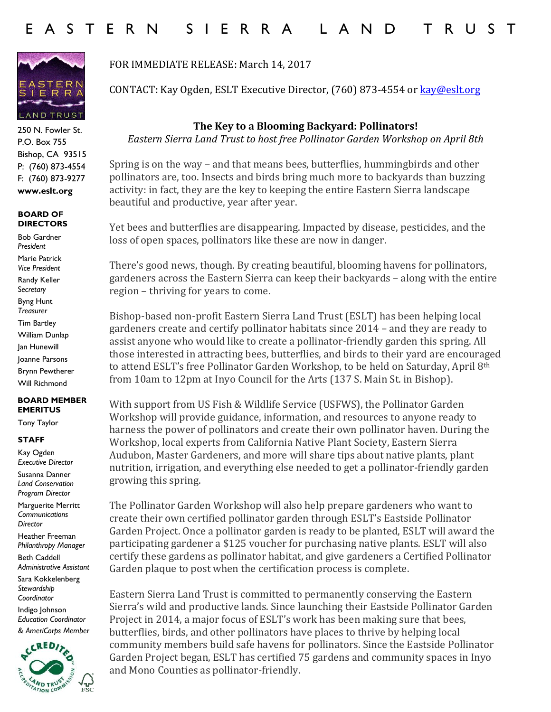

250 N. Fowler St. P.O. Box 755 Bishop, CA 93515 P: (760) 873-4554 F: (760) 873-9277 **www.eslt.org**

### **BOARD OF DIRECTORS**

Bob Gardner *President* Marie Patrick *Vice President* Randy Keller S*ecretary* Byng Hunt *Treasurer* Tim Bartley William Dunlap Jan Hunewill Joanne Parsons Brynn Pewtherer Will Richmond

### **BOARD MEMBER EMERITUS**

Tony Taylor

## **STAFF**

Kay Ogden *Executive Director*

Susanna Danner *Land Conservation Program Director*

Marguerite Merritt *Communications Director*

Heather Freeman *Philanthropy Manager*

Beth Caddell *Administrative Assistant* 

Sara Kokkelenberg *Stewardship Coordinator* 

Indigo Johnson *Education Coordinator & AmeriCorps Member*



# FOR IMMEDIATE RELEASE: March 14, 2017

CONTACT: Kay Ogden, ESLT Executive Director, (760) 873-4554 or [kay@eslt.org](mailto:kay@eslt.org)

## **The Key to a Blooming Backyard: Pollinators!**

*Eastern Sierra Land Trust to host free Pollinator Garden Workshop on April 8th*

Spring is on the way – and that means bees, butterflies, hummingbirds and other pollinators are, too. Insects and birds bring much more to backyards than buzzing activity: in fact, they are the key to keeping the entire Eastern Sierra landscape beautiful and productive, year after year.

Yet bees and butterflies are disappearing. Impacted by disease, pesticides, and the loss of open spaces, pollinators like these are now in danger.

There's good news, though. By creating beautiful, blooming havens for pollinators, gardeners across the Eastern Sierra can keep their backyards – along with the entire region – thriving for years to come.

Bishop-based non-profit Eastern Sierra Land Trust (ESLT) has been helping local gardeners create and certify pollinator habitats since 2014 – and they are ready to assist anyone who would like to create a pollinator-friendly garden this spring. All those interested in attracting bees, butterflies, and birds to their yard are encouraged to attend ESLT's free Pollinator Garden Workshop, to be held on Saturday, April 8<sup>th</sup> from 10am to 12pm at Inyo Council for the Arts (137 S. Main St. in Bishop).

With support from US Fish & Wildlife Service (USFWS), the Pollinator Garden Workshop will provide guidance, information, and resources to anyone ready to harness the power of pollinators and create their own pollinator haven. During the Workshop, local experts from California Native Plant Society, Eastern Sierra Audubon, Master Gardeners, and more will share tips about native plants, plant nutrition, irrigation, and everything else needed to get a pollinator-friendly garden growing this spring.

The Pollinator Garden Workshop will also help prepare gardeners who want to create their own certified pollinator garden through ESLT's Eastside Pollinator Garden Project. Once a pollinator garden is ready to be planted, ESLT will award the participating gardener a \$125 voucher for purchasing native plants. ESLT will also certify these gardens as pollinator habitat, and give gardeners a Certified Pollinator Garden plaque to post when the certification process is complete.

Eastern Sierra Land Trust is committed to permanently conserving the Eastern Sierra's wild and productive lands. Since launching their Eastside Pollinator Garden Project in 2014, a major focus of ESLT's work has been making sure that bees, butterflies, birds, and other pollinators have places to thrive by helping local community members build safe havens for pollinators. Since the Eastside Pollinator Garden Project began, ESLT has certified 75 gardens and community spaces in Inyo and Mono Counties as pollinator-friendly.